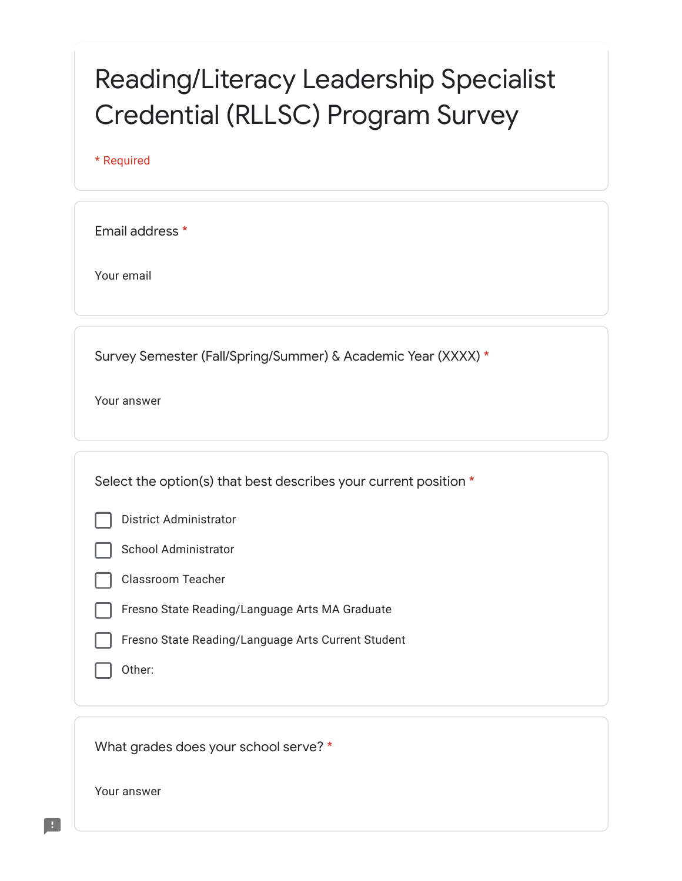## Reading/Literacy Leadership Specialist Credential (RLLSC) Program Survey

\* Required

Email address \*

Your email

Survey Semester (Fall/Spring/Summer) & Academic Year (XXXX) \*

Your answer

Select the option(s) that best describes your current position \*





Classroom Teacher

- Fresno State Reading/Language Arts MA Graduate
- Fresno State Reading/Language Arts Current Student
- Other:

What grades does your school serve? \*

Your answer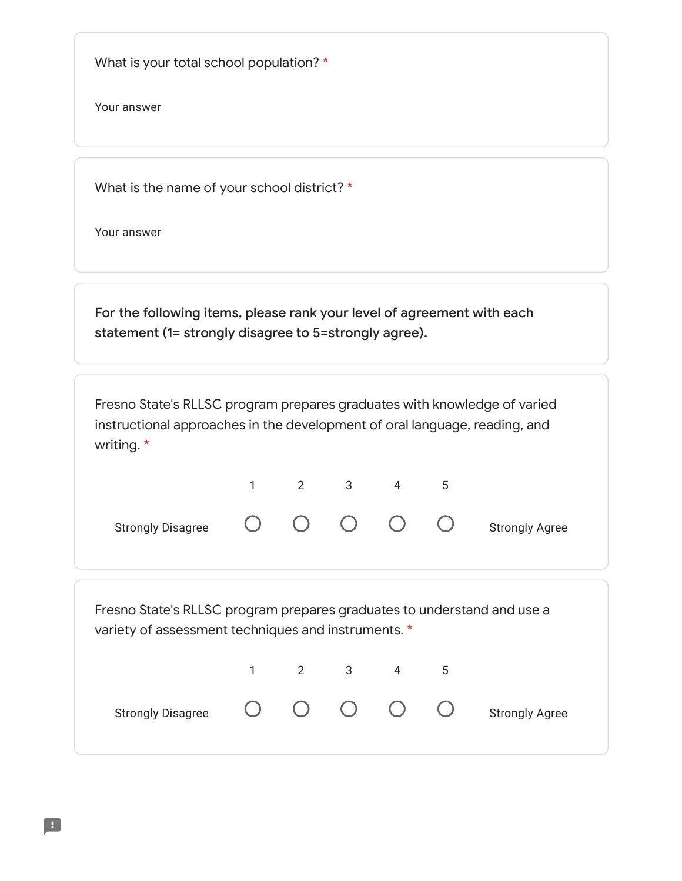What is your total school population? \*

Your answer

What is the name of your school district? \*

Your answer

For the following items, please rank your level of agreement with each statement (1= strongly disagree to 5=strongly agree).

Fresno State's RLLSC program prepares graduates with knowledge of varied instructional approaches in the development of oral language, reading, and writing. \*



Fresno State's RLLSC program prepares graduates to understand and use a variety of assessment techniques and instruments. \*

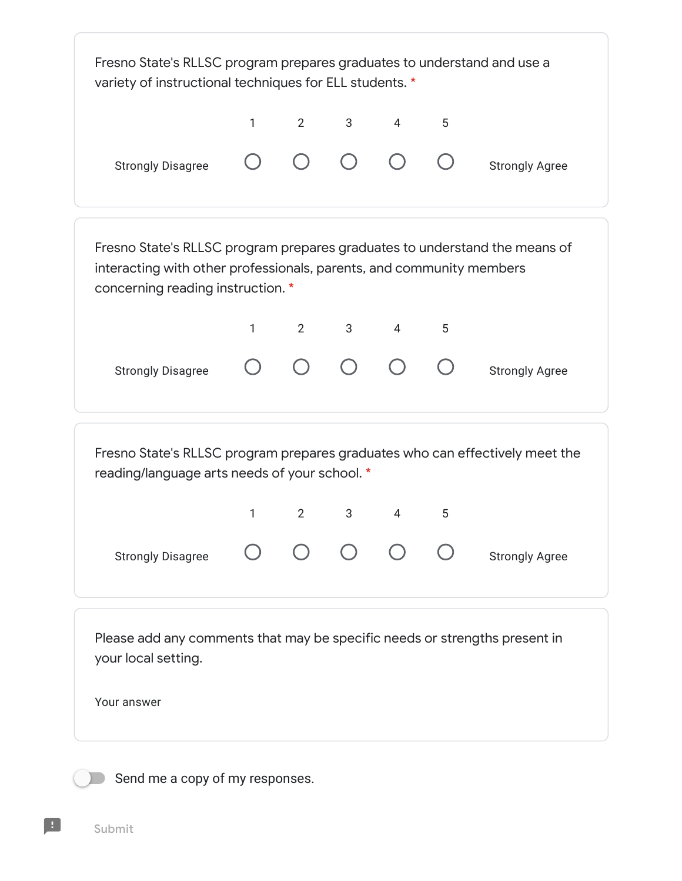

Send me a copy of my responses.

Submit